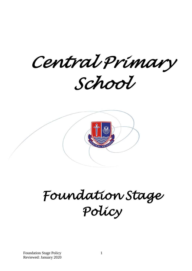*Central Primary School* 



*Foundation Stage Policy* 

Foundation Stage Policy Reviewed: January 2020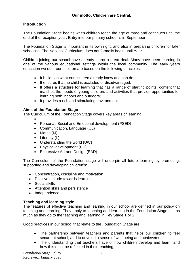# **Introduction**

The Foundation Stage begins when children reach the age of three and continues until the end of the reception year. Entry into our primary school is in September.

The Foundation Stage is important in its own right, and also in preparing children for later schooling. The National Curriculum does not formally begin until Year 1.

Children joining our school have already learnt a great deal. Many have been learning in one of the various educational settings within the local community. The early years education we offer our children are based on the following principles:

- It builds on what our children already know and can do;
- It ensures that no child is excluded or disadvantaged;
- It offers a structure for learning that has a range of starting points, content that matches the needs of young children, and activities that provide opportunities for learning both indoors and outdoors;
- It provides a rich and stimulating environment.

# **Aims of the Foundation Stage**

The Curriculum of the Foundation Stage covers key areas of learning:

- $\bullet$
- Personal, Social and Emotional development (PSED)
- Communication, Language (CL)
- $\bullet$  Maths (M)
- $\bullet$  Literacy (L)
- Understanding the world (UW)
- Physical development (PD)
- Expressive Art and Design (EAD)

The Curriculum of the Foundation stage will underpin all future learning by promoting, supporting and developing children's:

- Concentration, discipline and motivation
- Positive attitude towards learning
- Social skills
- Attention skills and persistence
- Independence

# **Teaching and learning style**

The features of effective teaching and learning in our school are defined in our policy on teaching and learning. They apply to teaching and learning in the Foundation Stage just as much as they do to the teaching and learning in Key Stage 1 or 2.

Good practices in our school that relate to the Foundation Stage are:

- The partnership between teachers and parents that helps our children to feel secure at school, and to develop a sense of well-being and achievement;
- The understanding that teachers have of how children develop and learn, and how this must be reflected in their teaching;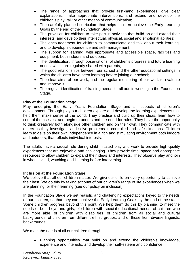- The range of approaches that provide first-hand experiences, give clear explanations, make appropriate interventions, and extend and develop the children's play, talk or other means of communication;
- The carefully planned curriculum that helps children achieve the Early Learning Goals by the end of the Foundation Stage;
- The provision for children to take part in activities that build on and extend their interests, and develop their intellectual, physical, social and emotional abilities;
- The encouragement for children to communicate and talk about their learning, and to develop independence and self-management;
- The support for learning, with appropriate and accessible space, facilities and equipment, both indoors and outdoors;
- The identification, through observations, of children's progress and future learning needs, which are regularly shared with parents;
- The good relationships between our school and the other educational settings in which the children have been learning before joining our school;
- The clear aims of our work, and the regular monitoring of our work to evaluate and improve it;
- The regular identification of training needs for all adults working in the Foundation Stage.

## **Play at the Foundation Stage**

Play underpins the Early Years Foundation Stage and all aspects of children's development. Through play our children explore and develop the learning experiences that help them make sense of the world. They practise and build up their ideas, learn how to control themselves, and begin to understand the need for rules. They have the opportunity to think creatively both alongside other children and on their own. They communicate with others as they investigate and solve problems in controlled and safe situations. Children learn to develop their own independence in a rich and stimulating environment both indoors and outdoors, that reflects individual interests.

The adults have a crucial role during child initiated play and work to provide high-quality experiences that are enjoyable and challenging. They provide time, space and appropriate resources to allow children to expand their ideas and interests. They observe play and join in when invited, watching and listening before intervening.

## **Inclusion at the Foundation Stage**

We believe that all our children matter. We give our children every opportunity to achieve their best. We do this by taking account of our children's range of life experiences when we are planning for their learning (see our policy on inclusion).

In the Foundation Stage we set realistic and challenging expectations keyed to the needs of our children, so that they can achieve the Early Learning Goals by the end of the stage. Some children progress beyond this point. We help them do this by planning to meet the needs of both boys and girls, of children with special educational needs, of children who are more able, of children with disabilities, of children from all social and cultural backgrounds, of children from different ethnic groups, and of those from diverse linguistic backgrounds.

We meet the needs of all our children through:

 Planning opportunities that build on and extend the children's knowledge, experience and interests, and develop their self-esteem and confidence;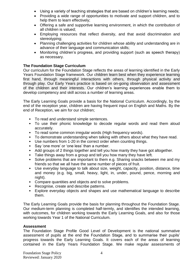- Using a variety of teaching strategies that are based on children's learning needs;
- Providing a wide range of opportunities to motivate and support children, and to help them to learn effectively;
- Offering a safe and supportive learning environment, in which the contribution of all children is valued;
- Employing resources that reflect diversity, and that avoid discrimination and stereotyping;
- Planning challenging activities for children whose ability and understanding are in advance of their language and communication skills;
- Monitoring children's progress, and providing support (such as speech therapy) as necessary.

## **The Foundation Stage Curriculum**

Our curriculum for the Foundation Stage reflects the areas of learning identified in the Early Years Foundation Stage framework. Our children learn best when they experience learning first hand, through meaningful interactions with others, through physical activity and through play. Our Early Years practice is based on on-going observation and assessment of the children and their interests. Our children's learning experiences enable them to develop competency and skill across a number of learning areas.

The Early Learning Goals provide a basis for the National Curriculum. Accordingly, by the end of the reception year, children are having frequent input on English and Maths. By the end of Reception, we aim for our children;

- To read and understand simple sentences.
- To use their phonic knowledge to decode regular words and read them aloud accurately.
- To read some common irregular words (High frequency words).
- To demonstrate understanding when talking with others about what they have read.
- Use numbers from 1-20 in the correct order when counting things.
- Say 'one more' or 'one less' than a number.
- Add groups of 2 things together and tell you how manty they have got altogether.
- Take things away from a group and tell you how many they have left.
- Solve problems that are important to them e.g. Sharing snacks between me and my friends so that we all have the same number of pieces of fruit.
- Use everyday language to talk about size, weight, capacity, position, distance, time and money (e.g. big, small, heavy, light, in, under, pound, pence, morning and night).
- Compare quantities and objects and to solve problems.
- Recognise, create and describe patterns.
- Explore everyday objects and shapes and use mathematical language to describe them.

The Early Learning Goals provide the basis for planning throughout the Foundation Stage. Our medium-term planning is completed half-termly, and identifies the intended learning, with outcomes, for children working towards the Early Learning Goals, and also for those working towards Year 1 of the National Curriculum.

### **Assessment**

The Foundation Stage Profile Good Level of Development is the national summative assessment of pupils at the end the Foundation Stage, and to summarise their pupils' progress towards the Early Learning Goals. It covers each of the areas of learning contained in the Early Years Foundation Stage. We make regular assessments of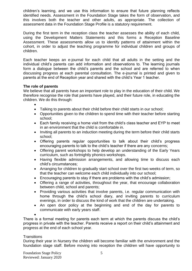children's learning, and we use this information to ensure that future planning reflects identified needs. Assessment in the Foundation Stage takes the form of observation, and this involves both the teacher and other adults, as appropriate. The collection of assessment data in the Foundation Stage Profile is a statutory requirement.

During the first term in the reception class the teacher assesses the ability of each child, using the Development Matters Statements and this forms a Reception Baseline Assessment. These assessments allow us to identify patterns of attainment within the cohort, in order to adjust the teaching programme for individual children and groups of children.

Each teacher keeps an e-journal for each child that all adults in the setting and the individual child's parents can add information and observations to. The learning journals form a dialogue between the child's parents and the school and are referred to when discussing progress at each parental consultation. The e-journal is printed and given to parents at the end of Reception year and shared with the child's Year 1 teacher.

### **The role of parents**

We believe that all parents have an important role to play in the education of their child. We therefore recognise the role that parents have played, and their future role, in educating the children. We do this through:

 $\bullet$ 

- Talking to parents about their child before their child starts in our school;
- Opportunities given to the children to spend time with their teacher before starting school;
- Each family receiving a home visit from the child's class teacher and EYP to meet in an environment that the child is comfortable in.
- Inviting all parents to an induction meeting during the term before their child starts school;
- Offering parents regular opportunities to talk about their child's progress encouraging parents to talk to the child's teacher if there are any concerns;
- Offering parent workshops to help develop an understanding of the Early Years curriculum, such as fortnightly phonics workshops.
- Having flexible admission arrangements, and allowing time to discuss each child's circumstances;
- Arranging for children to gradually start school over the first two weeks of term, so that the teacher can welcome each child individually into our school;
- Encouraging parents to stay if there are problems with the child's admission;
- Offering a range of activities, throughout the year, that encourage collaboration between child, school and parents;
- Providing various activities that involve parents, i.e. regular communication with home through the child's school diary, and inviting parents to curriculum evenings, in order to discuss the kind of work that the children are undertaking.
- An open door policy at the beginning and end of the day for parents to communicate with early years staff.

 $\bullet$ 

There is a formal meeting for parents each term at which the parents discuss the child's progress in private with the teacher. Parents receive a report on their child's attainment and progress at the end of each school year.

#### **Transitions**

During their year in Nursery the children will become familiar with the environment and the foundation stage staff. Before moving into reception the children will have opportunity to